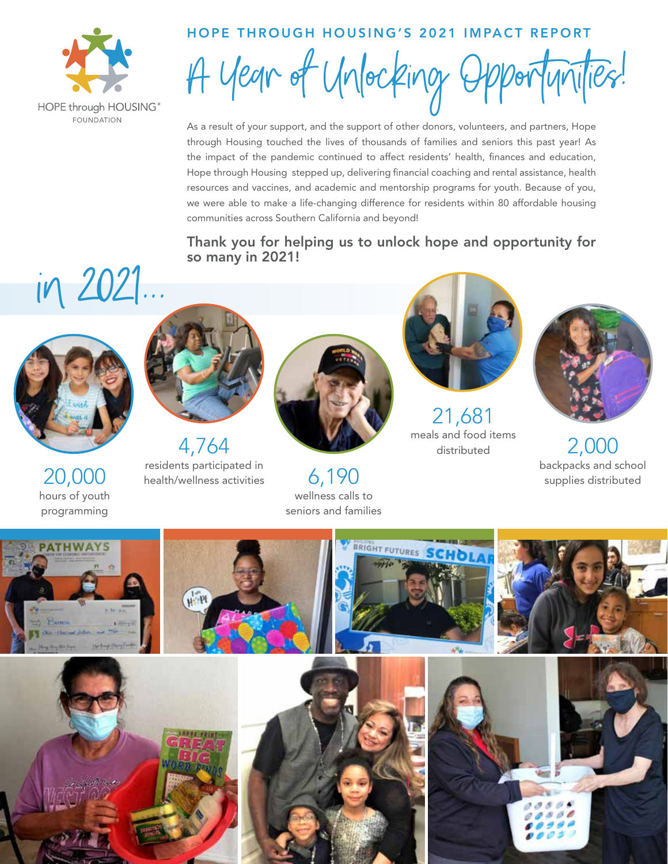

### HOPE THROUGH HOUSING'S 2021 IMPACT REPORT

A year of Unlocking Opportunities!

As a result of your support, and the support of other donors, volunteers, and partners, Hope through Housing touched the lives of thousands of families and seniors this past year! As the impact of the pandemic continued to affect residents' health, finances and education, Hope through Housing stepped up, delivering financial coaching and rental assistance, health resources and vaccines, and academic and mentorship programs for youth. Because of you, we were able to make a life-changing difference for residents within 80 affordable housing communities across Southern California and beyond!

## Thank you for helping us to unlock hope and opportunity for so many in 2021!





20,000 hours of youth programming



residents participated in health/wellness activities



wellness calls to seniors and families



 $21,681$ <br>meals and food items



2,000<br>backpacks and school backpacks and school 6,190 supplies distributed